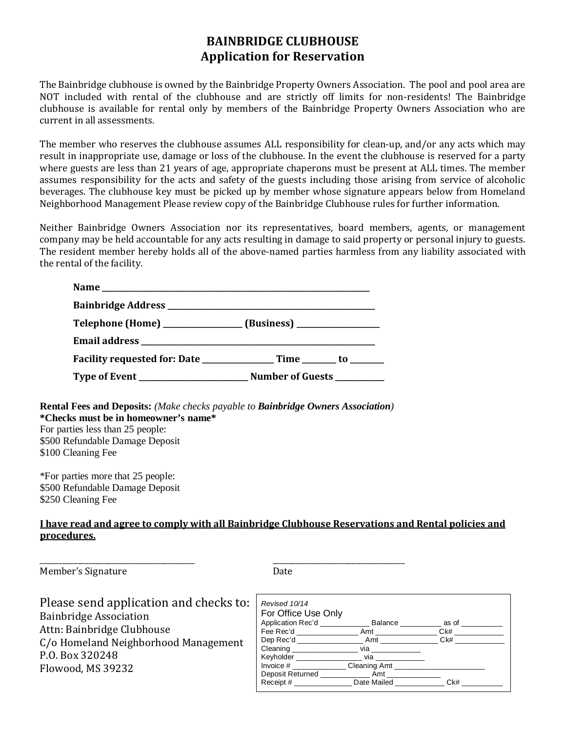## **BAINBRIDGE CLUBHOUSE Application for Reservation**

The Bainbridge clubhouse is owned by the Bainbridge Property Owners Association. The pool and pool area are NOT included with rental of the clubhouse and are strictly off limits for non-residents! The Bainbridge clubhouse is available for rental only by members of the Bainbridge Property Owners Association who are current in all assessments.

The member who reserves the clubhouse assumes ALL responsibility for clean-up, and/or any acts which may result in inappropriate use, damage or loss of the clubhouse. In the event the clubhouse is reserved for a party where guests are less than 21 years of age, appropriate chaperons must be present at ALL times. The member assumes responsibility for the acts and safety of the guests including those arising from service of alcoholic beverages. The clubhouse key must be picked up by member whose signature appears below from Homeland Neighborhood Management Please review copy of the Bainbridge Clubhouse rules for further information.

Neither Bainbridge Owners Association nor its representatives, board members, agents, or management company may be held accountable for any acts resulting in damage to said property or personal injury to guests. The resident member hereby holds all of the above-named parties harmless from any liability associated with the rental of the facility.

**Rental Fees and Deposits:** *(Make checks payable to Bainbridge Owners Association)* **\*Checks must be in homeowner's name\*** For parties less than 25 people: \$500 Refundable Damage Deposit \$100 Cleaning Fee

\*For parties more that 25 people: \$500 Refundable Damage Deposit \$250 Cleaning Fee

## **I have read and agree to comply with all Bainbridge Clubhouse Reservations and Rental policies and procedures.**

\_\_\_\_\_\_\_\_\_\_\_\_\_\_\_\_\_\_\_\_\_\_\_\_\_\_\_\_\_\_\_\_\_\_\_\_\_\_\_\_\_ \_\_\_\_\_\_\_\_\_\_\_\_\_\_\_\_\_\_\_\_\_\_\_\_\_\_\_\_\_\_\_\_\_\_\_ Member's Signature Date

| Please send application and checks to: |
|----------------------------------------|
| <b>Bainbridge Association</b>          |
| Attn: Bainbridge Clubhouse             |
| C/o Homeland Neighborhood Management   |
| P.O. Box 320248                        |
| Flowood, MS 39232                      |
|                                        |

| Revised 10/14                                                       |                |        |
|---------------------------------------------------------------------|----------------|--------|
| For Office Use Only                                                 |                |        |
| Application Rec'd ______________ Balance ___________ as of ________ |                |        |
|                                                                     |                | Ck#    |
|                                                                     |                | $Ck\#$ |
|                                                                     |                |        |
| Keyholder _____________________                                     | via __________ |        |
| Invoice # Cleaning Amt                                              |                |        |
|                                                                     |                |        |
| Receipt # Date Mailed                                               |                | Ck#    |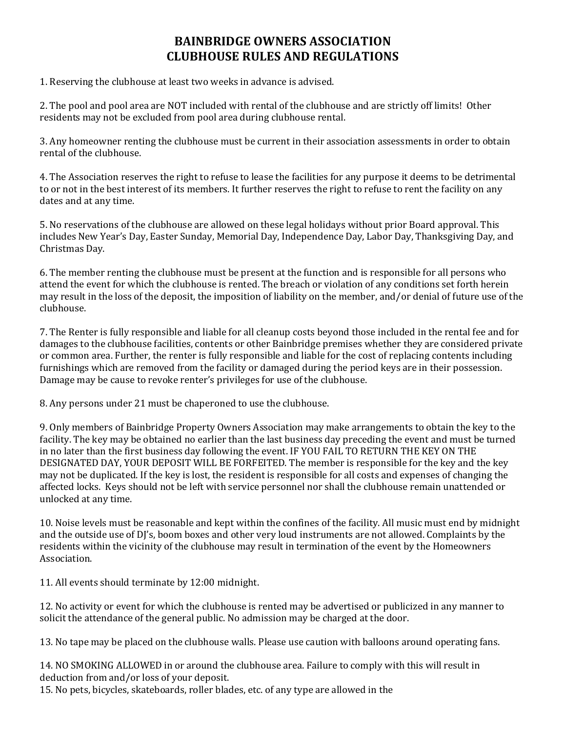## **BAINBRIDGE OWNERS ASSOCIATION CLUBHOUSE RULES AND REGULATIONS**

1. Reserving the clubhouse at least two weeks in advance is advised.

2. The pool and pool area are NOT included with rental of the clubhouse and are strictly off limits! Other residents may not be excluded from pool area during clubhouse rental.

3. Any homeowner renting the clubhouse must be current in their association assessments in order to obtain rental of the clubhouse.

4. The Association reserves the right to refuse to lease the facilities for any purpose it deems to be detrimental to or not in the best interest of its members. It further reserves the right to refuse to rent the facility on any dates and at any time.

5. No reservations of the clubhouse are allowed on these legal holidays without prior Board approval. This includes New Year's Day, Easter Sunday, Memorial Day, Independence Day, Labor Day, Thanksgiving Day, and Christmas Day.

6. The member renting the clubhouse must be present at the function and is responsible for all persons who attend the event for which the clubhouse is rented. The breach or violation of any conditions set forth herein may result in the loss of the deposit, the imposition of liability on the member, and/or denial of future use of the clubhouse.

7. The Renter is fully responsible and liable for all cleanup costs beyond those included in the rental fee and for damages to the clubhouse facilities, contents or other Bainbridge premises whether they are considered private or common area. Further, the renter is fully responsible and liable for the cost of replacing contents including furnishings which are removed from the facility or damaged during the period keys are in their possession. Damage may be cause to revoke renter's privileges for use of the clubhouse.

8. Any persons under 21 must be chaperoned to use the clubhouse.

9. Only members of Bainbridge Property Owners Association may make arrangements to obtain the key to the facility. The key may be obtained no earlier than the last business day preceding the event and must be turned in no later than the first business day following the event. IF YOU FAIL TO RETURN THE KEY ON THE DESIGNATED DAY, YOUR DEPOSIT WILL BE FORFEITED. The member is responsible for the key and the key may not be duplicated. If the key is lost, the resident is responsible for all costs and expenses of changing the affected locks. Keys should not be left with service personnel nor shall the clubhouse remain unattended or unlocked at any time.

10. Noise levels must be reasonable and kept within the confines of the facility. All music must end by midnight and the outside use of DJ's, boom boxes and other very loud instruments are not allowed. Complaints by the residents within the vicinity of the clubhouse may result in termination of the event by the Homeowners Association.

11. All events should terminate by 12:00 midnight.

12. No activity or event for which the clubhouse is rented may be advertised or publicized in any manner to solicit the attendance of the general public. No admission may be charged at the door.

13. No tape may be placed on the clubhouse walls. Please use caution with balloons around operating fans.

14. NO SMOKING ALLOWED in or around the clubhouse area. Failure to comply with this will result in deduction from and/or loss of your deposit.

15. No pets, bicycles, skateboards, roller blades, etc. of any type are allowed in the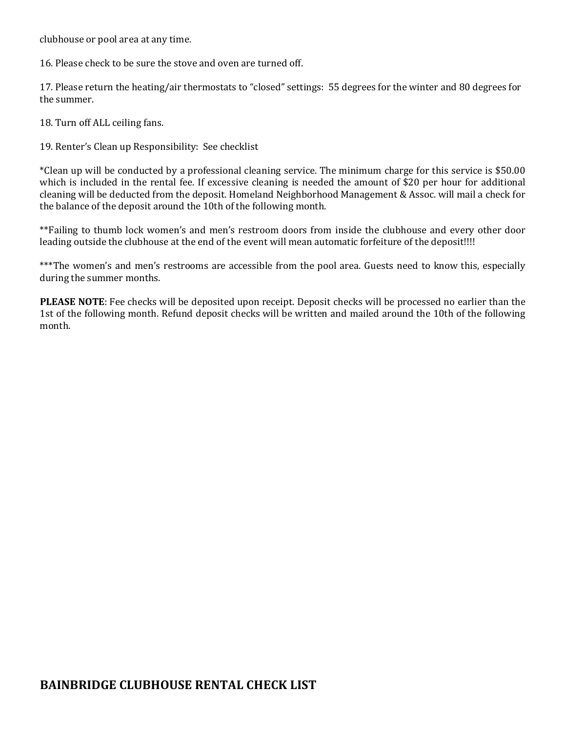clubhouse or pool area at any time.

16. Please check to be sure the stove and oven are turned off.

17. Please return the heating/air thermostats to "closed" settings: 55 degrees for the winter and 80 degrees for the summer.

18. Turn off ALL ceiling fans.

19. Renter's Clean up Responsibility: See checklist

\*Clean up will be conducted by a professional cleaning service. The minimum charge for this service is \$50.00 which is included in the rental fee. If excessive cleaning is needed the amount of \$20 per hour for additional cleaning will be deducted from the deposit. Homeland Neighborhood Management & Assoc. will mail a check for the balance of the deposit around the 10th of the following month.

\*\*Failing to thumb lock women's and men's restroom doors from inside the clubhouse and every other door leading outside the clubhouse at the end of the event will mean automatic forfeiture of the deposit!!!!

\*\*\*The women's and men's restrooms are accessible from the pool area. Guests need to know this, especially during the summer months.

**PLEASE NOTE**: Fee checks will be deposited upon receipt. Deposit checks will be processed no earlier than the 1st of the following month. Refund deposit checks will be written and mailed around the 10th of the following month.